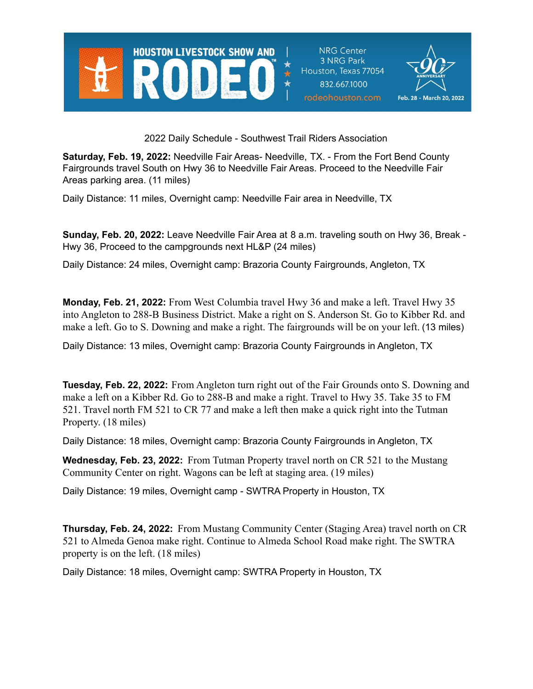

**NRG Center** 3 NRG Park Houston, Texas 77054 832.667.1000 rodeohouston.com



2022 Daily Schedule - Southwest Trail Riders Association

**Saturday, Feb. 19, 2022:** Needville Fair Areas- Needville, TX. - From the Fort Bend County Fairgrounds travel South on Hwy 36 to Needville Fair Areas. Proceed to the Needville Fair Areas parking area. (11 miles)

Daily Distance: 11 miles, Overnight camp: Needville Fair area in Needville, TX

**Sunday, Feb. 20, 2022:** Leave Needville Fair Area at 8 a.m. traveling south on Hwy 36, Break - Hwy 36, Proceed to the campgrounds next HL&P (24 miles)

Daily Distance: 24 miles, Overnight camp: Brazoria County Fairgrounds, Angleton, TX

**Monday, Feb. 21, 2022:** From West Columbia travel Hwy 36 and make a left. Travel Hwy 35 into Angleton to 288-B Business District. Make a right on S. Anderson St. Go to Kibber Rd. and make a left. Go to S. Downing and make a right. The fairgrounds will be on your left. (13 miles)

Daily Distance: 13 miles, Overnight camp: Brazoria County Fairgrounds in Angleton, TX

**Tuesday, Feb. 22, 2022:** From Angleton turn right out of the Fair Grounds onto S. Downing and make a left on a Kibber Rd. Go to 288-B and make a right. Travel to Hwy 35. Take 35 to FM 521. Travel north FM 521 to CR 77 and make a left then make a quick right into the Tutman Property. (18 miles)

Daily Distance: 18 miles, Overnight camp: Brazoria County Fairgrounds in Angleton, TX

**Wednesday, Feb. 23, 2022:** From Tutman Property travel north on CR 521 to the Mustang Community Center on right. Wagons can be left at staging area. (19 miles)

Daily Distance: 19 miles, Overnight camp - SWTRA Property in Houston, TX

**Thursday, Feb. 24, 2022:** From Mustang Community Center (Staging Area) travel north on CR 521 to Almeda Genoa make right. Continue to Almeda School Road make right. The SWTRA property is on the left. (18 miles)

Daily Distance: 18 miles, Overnight camp: SWTRA Property in Houston, TX